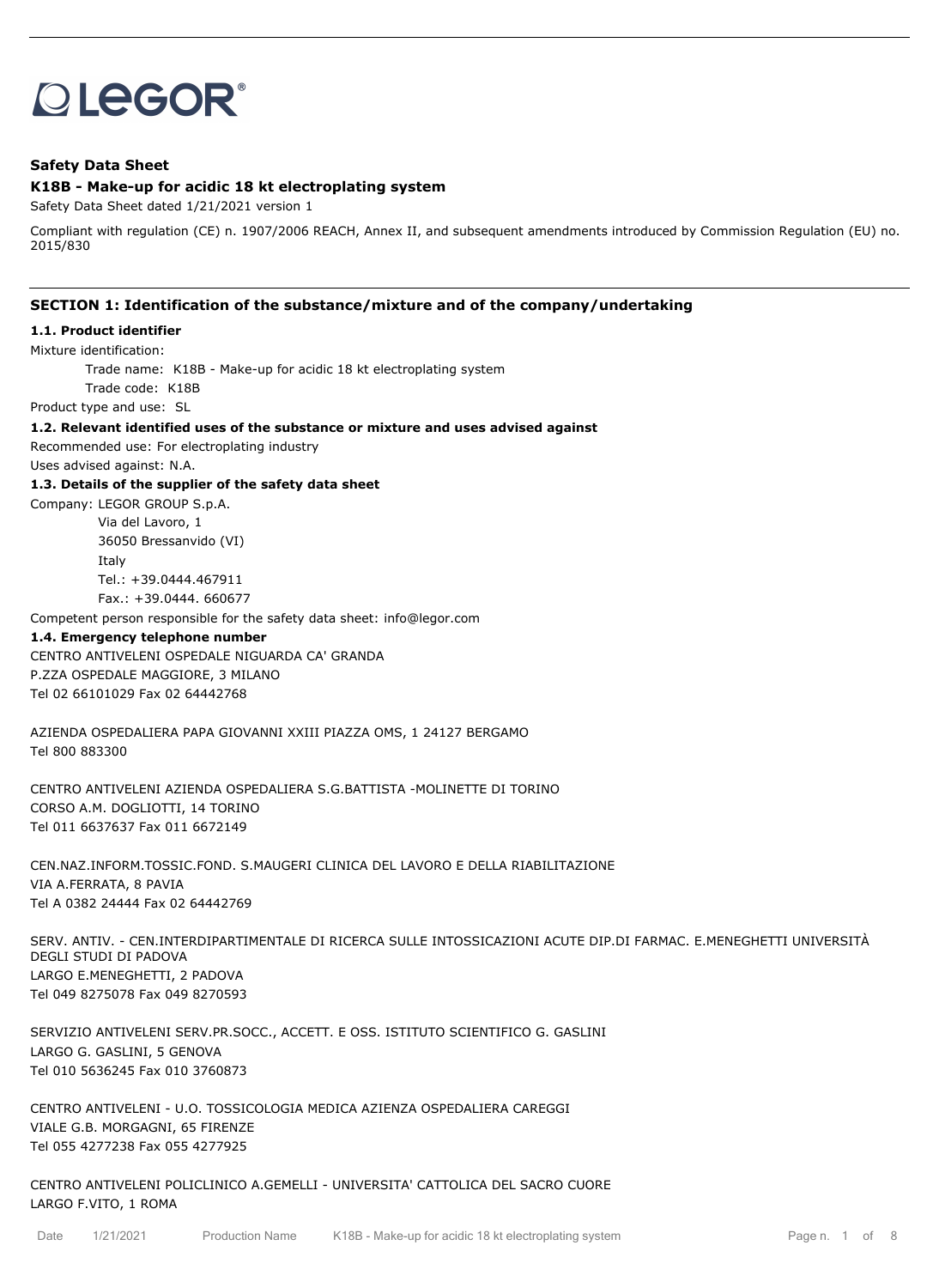# **OLEGOR®**

## **Safety Data Sheet**

#### **K18B - Make-up for acidic 18 kt electroplating system**

Safety Data Sheet dated 1/21/2021 version 1

Compliant with regulation (CE) n. 1907/2006 REACH, Annex II, and subsequent amendments introduced by Commission Regulation (EU) no. 2015/830

#### **SECTION 1: Identification of the substance/mixture and of the company/undertaking**

#### **1.1. Product identifier**

Mixture identification:

Trade name: K18B - Make-up for acidic 18 kt electroplating system

Trade code: K18B

Product type and use: SL

**1.2. Relevant identified uses of the substance or mixture and uses advised against**

Recommended use: For electroplating industry

Uses advised against: N.A.

#### **1.3. Details of the supplier of the safety data sheet**

Company: LEGOR GROUP S.p.A. Via del Lavoro, 1 36050 Bressanvido (VI) Italy Tel.: +39.0444.467911 Fax.: +39.0444. 660677

Competent person responsible for the safety data sheet: info@legor.com

#### **1.4. Emergency telephone number**

CENTRO ANTIVELENI OSPEDALE NIGUARDA CA' GRANDA P.ZZA OSPEDALE MAGGIORE, 3 MILANO Tel 02 66101029 Fax 02 64442768

AZIENDA OSPEDALIERA PAPA GIOVANNI XXIII PIAZZA OMS, 1 24127 BERGAMO Tel 800 883300

CENTRO ANTIVELENI AZIENDA OSPEDALIERA S.G.BATTISTA -MOLINETTE DI TORINO CORSO A.M. DOGLIOTTI, 14 TORINO Tel 011 6637637 Fax 011 6672149

CEN.NAZ.INFORM.TOSSIC.FOND. S.MAUGERI CLINICA DEL LAVORO E DELLA RIABILITAZIONE VIA A.FERRATA, 8 PAVIA Tel A 0382 24444 Fax 02 64442769

SERV. ANTIV. - CEN.INTERDIPARTIMENTALE DI RICERCA SULLE INTOSSICAZIONI ACUTE DIP.DI FARMAC. E.MENEGHETTI UNIVERSITÀ DEGLI STUDI DI PADOVA LARGO E.MENEGHETTI, 2 PADOVA Tel 049 8275078 Fax 049 8270593

SERVIZIO ANTIVELENI SERV.PR.SOCC., ACCETT. E OSS. ISTITUTO SCIENTIFICO G. GASLINI LARGO G. GASLINI, 5 GENOVA Tel 010 5636245 Fax 010 3760873

CENTRO ANTIVELENI - U.O. TOSSICOLOGIA MEDICA AZIENZA OSPEDALIERA CAREGGI VIALE G.B. MORGAGNI, 65 FIRENZE Tel 055 4277238 Fax 055 4277925

CENTRO ANTIVELENI POLICLINICO A.GEMELLI - UNIVERSITA' CATTOLICA DEL SACRO CUORE LARGO F.VITO, 1 ROMA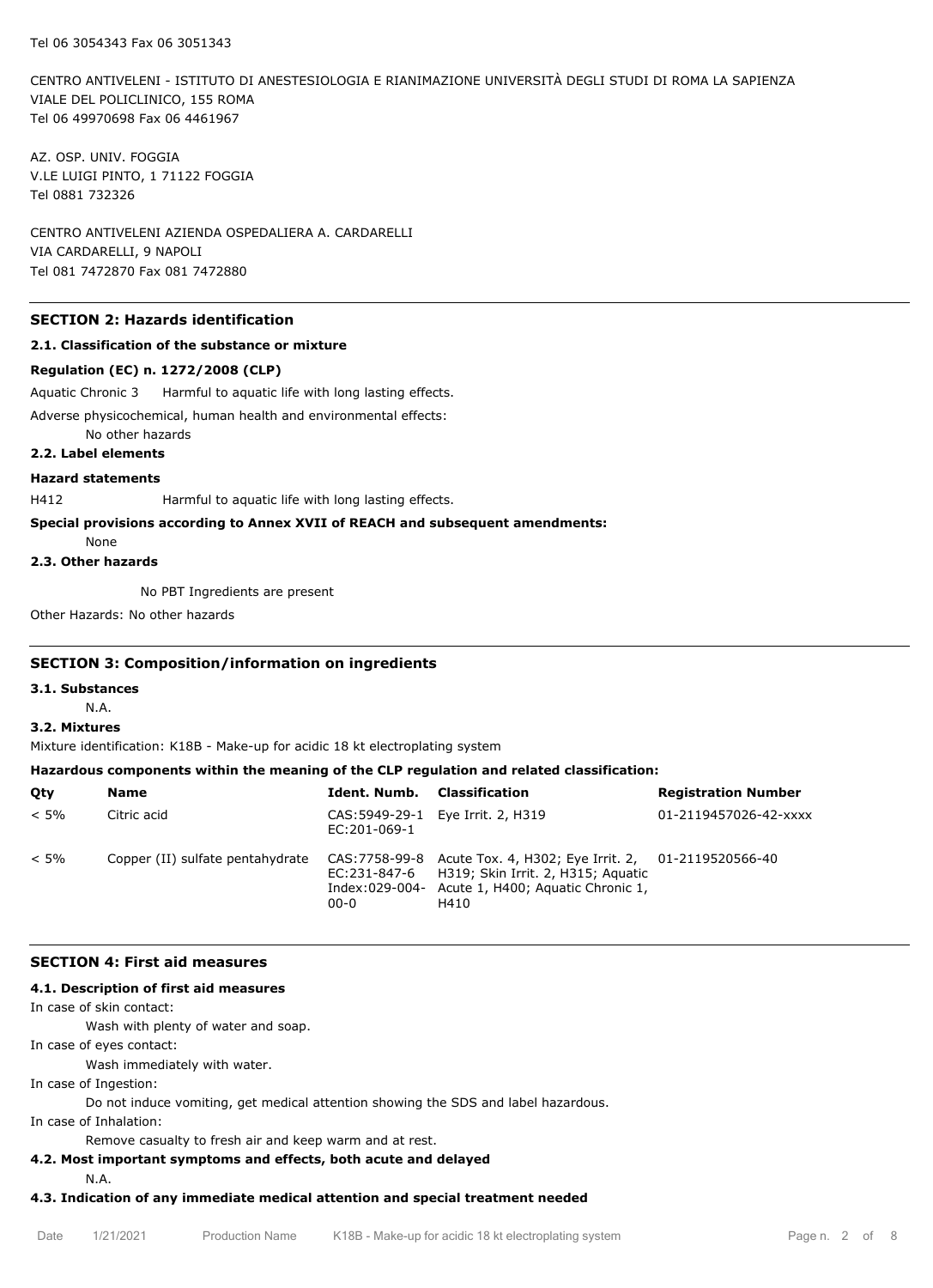CENTRO ANTIVELENI - ISTITUTO DI ANESTESIOLOGIA E RIANIMAZIONE UNIVERSITÀ DEGLI STUDI DI ROMA LA SAPIENZA VIALE DEL POLICLINICO, 155 ROMA Tel 06 49970698 Fax 06 4461967

AZ. OSP. UNIV. FOGGIA V.LE LUIGI PINTO, 1 71122 FOGGIA Tel 0881 732326

CENTRO ANTIVELENI AZIENDA OSPEDALIERA A. CARDARELLI VIA CARDARELLI, 9 NAPOLI Tel 081 7472870 Fax 081 7472880

## **SECTION 2: Hazards identification**

#### **2.1. Classification of the substance or mixture**

#### **Regulation (EC) n. 1272/2008 (CLP)**

Aquatic Chronic 3 Harmful to aquatic life with long lasting effects.

Adverse physicochemical, human health and environmental effects:

No other hazards

## **2.2. Label elements**

## **Hazard statements**

H412 Harmful to aquatic life with long lasting effects.

#### **Special provisions according to Annex XVII of REACH and subsequent amendments:**

None

## **2.3. Other hazards**

No PBT Ingredients are present

Other Hazards: No other hazards

#### **SECTION 3: Composition/information on ingredients**

#### **3.1. Substances**

N.A.

## **3.2. Mixtures**

Mixture identification: K18B - Make-up for acidic 18 kt electroplating system

#### **Hazardous components within the meaning of the CLP regulation and related classification:**

| Qty     | Name                             | Ident. Numb.             | Classification                                                                                                                                                     | <b>Registration Number</b> |
|---------|----------------------------------|--------------------------|--------------------------------------------------------------------------------------------------------------------------------------------------------------------|----------------------------|
| $< 5\%$ | Citric acid                      | EC:201-069-1             | CAS: 5949-29-1 Eye Irrit. 2, H319                                                                                                                                  | 01-2119457026-42-xxxx      |
| $< 5\%$ | Copper (II) sulfate pentahydrate | EC:231-847-6<br>$00 - 0$ | CAS:7758-99-8 Acute Tox. 4, H302; Eye Irrit. 2, 01-2119520566-40<br>H319; Skin Irrit. 2, H315; Aguatic<br>Index:029-004- Acute 1, H400; Aquatic Chronic 1,<br>H410 |                            |

#### **SECTION 4: First aid measures**

#### **4.1. Description of first aid measures**

In case of skin contact:

Wash with plenty of water and soap.

In case of eyes contact:

Wash immediately with water.

In case of Ingestion:

Do not induce vomiting, get medical attention showing the SDS and label hazardous.

In case of Inhalation:

Remove casualty to fresh air and keep warm and at rest.

## **4.2. Most important symptoms and effects, both acute and delayed**

N.A.

## **4.3. Indication of any immediate medical attention and special treatment needed**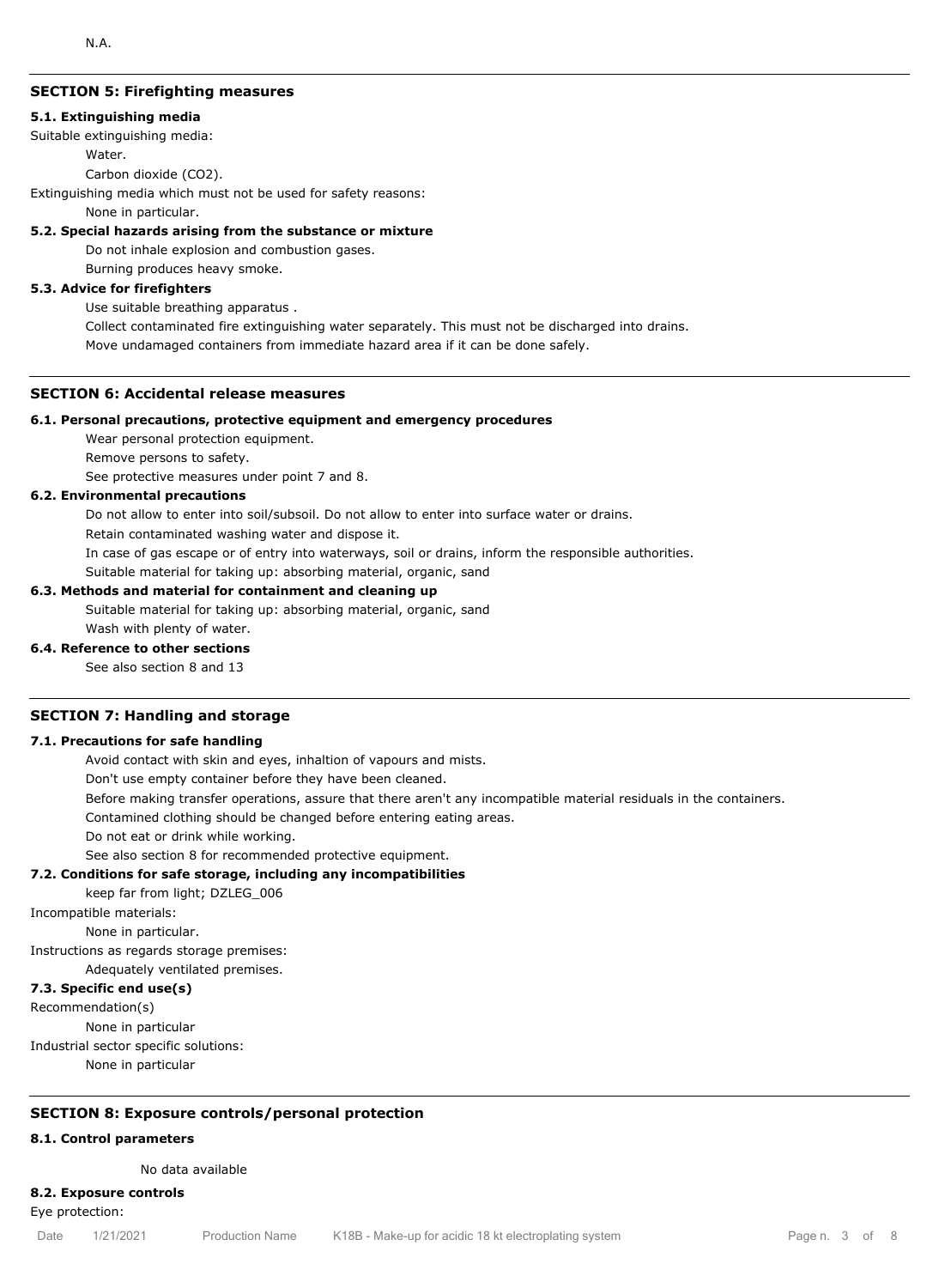## **SECTION 5: Firefighting measures**

#### **5.1. Extinguishing media**

Suitable extinguishing media:

**Water** 

Carbon dioxide (CO2).

Extinguishing media which must not be used for safety reasons:

None in particular.

#### **5.2. Special hazards arising from the substance or mixture**

Do not inhale explosion and combustion gases.

Burning produces heavy smoke.

#### **5.3. Advice for firefighters**

Use suitable breathing apparatus .

Collect contaminated fire extinguishing water separately. This must not be discharged into drains. Move undamaged containers from immediate hazard area if it can be done safely.

#### **SECTION 6: Accidental release measures**

#### **6.1. Personal precautions, protective equipment and emergency procedures**

Wear personal protection equipment.

Remove persons to safety.

See protective measures under point 7 and 8.

#### **6.2. Environmental precautions**

Do not allow to enter into soil/subsoil. Do not allow to enter into surface water or drains.

Retain contaminated washing water and dispose it.

In case of gas escape or of entry into waterways, soil or drains, inform the responsible authorities.

Suitable material for taking up: absorbing material, organic, sand

#### **6.3. Methods and material for containment and cleaning up**

Suitable material for taking up: absorbing material, organic, sand Wash with plenty of water.

#### **6.4. Reference to other sections**

See also section 8 and 13

#### **SECTION 7: Handling and storage**

#### **7.1. Precautions for safe handling**

Avoid contact with skin and eyes, inhaltion of vapours and mists.

Don't use empty container before they have been cleaned.

Before making transfer operations, assure that there aren't any incompatible material residuals in the containers.

Contamined clothing should be changed before entering eating areas.

Do not eat or drink while working.

See also section 8 for recommended protective equipment.

#### **7.2. Conditions for safe storage, including any incompatibilities**

keep far from light; DZLEG\_006

Incompatible materials:

None in particular.

Instructions as regards storage premises:

Adequately ventilated premises.

#### **7.3. Specific end use(s)**

Recommendation(s)

None in particular

Industrial sector specific solutions:

None in particular

## **SECTION 8: Exposure controls/personal protection**

#### **8.1. Control parameters**

No data available

#### **8.2. Exposure controls**

Eye protection: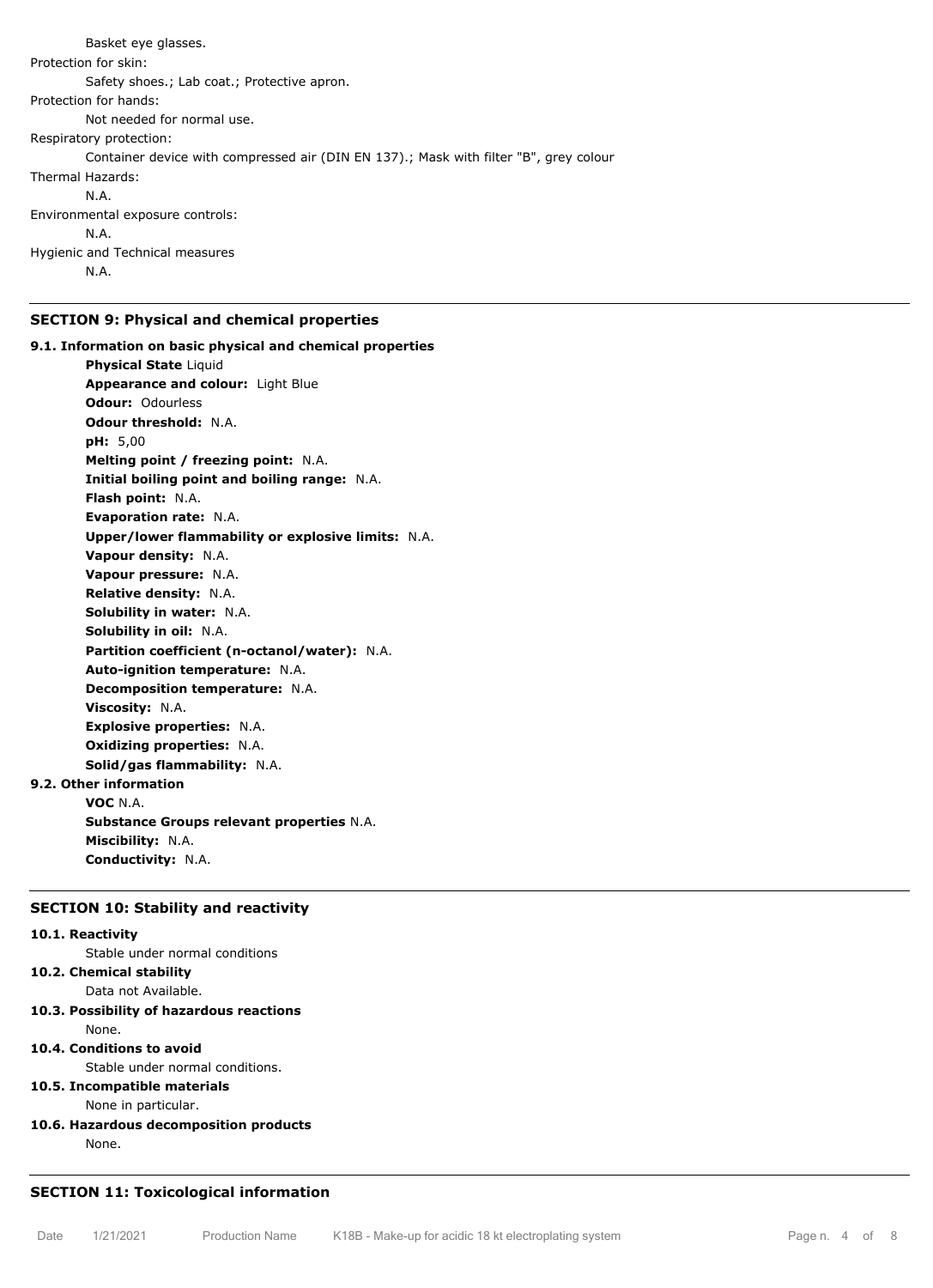Basket eye glasses. Protection for skin: Safety shoes.; Lab coat.; Protective apron. Protection for hands: Not needed for normal use. Respiratory protection: Container device with compressed air (DIN EN 137).; Mask with filter "B", grey colour Thermal Hazards: N.A. Environmental exposure controls: N.A. Hygienic and Technical measures N.A.

## **SECTION 9: Physical and chemical properties**

**9.1. Information on basic physical and chemical properties Physical State Liquid Appearance and colour:** Light Blue **Odour:** Odourless **Odour threshold:** N.A. **pH:** 5,00 **Melting point / freezing point:** N.A. **Initial boiling point and boiling range:** N.A. **Flash point:** N.A. **Evaporation rate:** N.A. **Upper/lower flammability or explosive limits:** N.A. **Vapour density:** N.A. **Vapour pressure:** N.A. **Relative density:** N.A. **Solubility in water:** N.A. **Solubility in oil:** N.A. **Partition coefficient (n-octanol/water):** N.A. **Auto-ignition temperature:** N.A. **Decomposition temperature:** N.A. **Viscosity:** N.A. **Explosive properties:** N.A. **Oxidizing properties:** N.A. **Solid/gas flammability:** N.A. **9.2. Other information VOC** N.A.

**Substance Groups relevant properties** N.A. **Miscibility:** N.A. **Conductivity:** N.A.

## **SECTION 10: Stability and reactivity**

#### **10.1. Reactivity**

Stable under normal conditions

## **10.2. Chemical stability**

Data not Available.

**10.3. Possibility of hazardous reactions** None.

## **10.4. Conditions to avoid**

Stable under normal conditions.

## **10.5. Incompatible materials**

None in particular.

## **10.6. Hazardous decomposition products**

None.

## **SECTION 11: Toxicological information**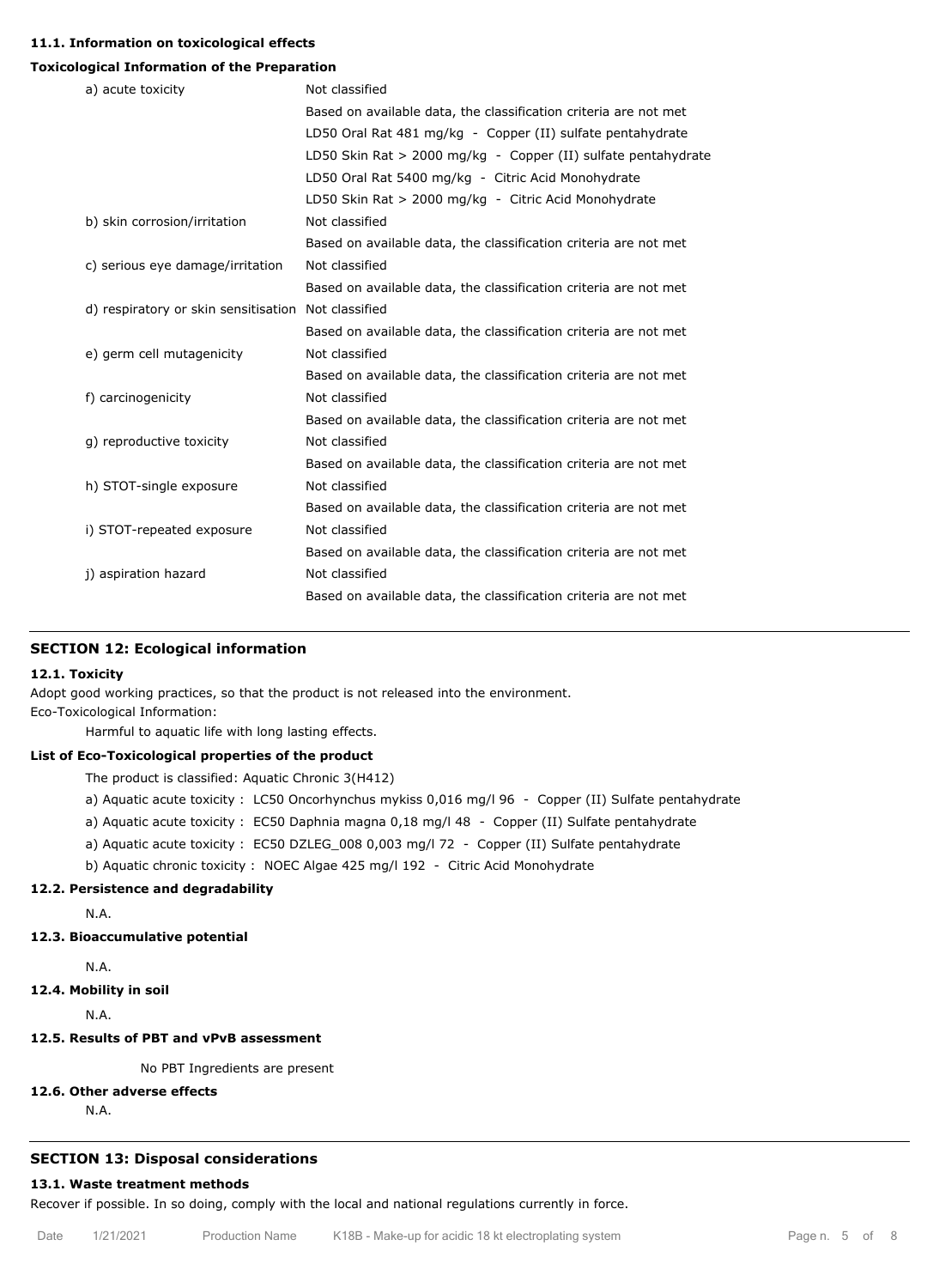#### **11.1. Information on toxicological effects**

#### **Toxicological Information of the Preparation**

| a) acute toxicity                                   | Not classified                                                   |
|-----------------------------------------------------|------------------------------------------------------------------|
|                                                     | Based on available data, the classification criteria are not met |
|                                                     | LD50 Oral Rat 481 mg/kg - Copper (II) sulfate pentahydrate       |
|                                                     | LD50 Skin Rat > 2000 mg/kg - Copper (II) sulfate pentahydrate    |
|                                                     | LD50 Oral Rat 5400 mg/kg - Citric Acid Monohydrate               |
|                                                     | LD50 Skin Rat > 2000 mg/kg - Citric Acid Monohydrate             |
| b) skin corrosion/irritation                        | Not classified                                                   |
|                                                     | Based on available data, the classification criteria are not met |
| c) serious eye damage/irritation                    | Not classified                                                   |
|                                                     | Based on available data, the classification criteria are not met |
| d) respiratory or skin sensitisation Not classified |                                                                  |
|                                                     | Based on available data, the classification criteria are not met |
| e) germ cell mutagenicity                           | Not classified                                                   |
|                                                     | Based on available data, the classification criteria are not met |
| f) carcinogenicity                                  | Not classified                                                   |
|                                                     | Based on available data, the classification criteria are not met |
| q) reproductive toxicity                            | Not classified                                                   |
|                                                     | Based on available data, the classification criteria are not met |
| h) STOT-single exposure                             | Not classified                                                   |
|                                                     | Based on available data, the classification criteria are not met |
| i) STOT-repeated exposure                           | Not classified                                                   |
|                                                     | Based on available data, the classification criteria are not met |
| j) aspiration hazard                                | Not classified                                                   |
|                                                     | Based on available data, the classification criteria are not met |

## **SECTION 12: Ecological information**

#### **12.1. Toxicity**

Adopt good working practices, so that the product is not released into the environment.

Eco-Toxicological Information:

Harmful to aquatic life with long lasting effects.

#### **List of Eco-Toxicological properties of the product**

The product is classified: Aquatic Chronic 3(H412)

- a) Aquatic acute toxicity : LC50 Oncorhynchus mykiss 0,016 mg/l 96 Copper (II) Sulfate pentahydrate
- a) Aquatic acute toxicity : EC50 Daphnia magna 0,18 mg/l 48 Copper (II) Sulfate pentahydrate
- a) Aquatic acute toxicity : EC50 DZLEG\_008 0,003 mg/l 72 Copper (II) Sulfate pentahydrate
- b) Aquatic chronic toxicity : NOEC Algae 425 mg/l 192 Citric Acid Monohydrate

#### **12.2. Persistence and degradability**

N.A.

## **12.3. Bioaccumulative potential**

N.A.

**12.4. Mobility in soil**

N.A.

## **12.5. Results of PBT and vPvB assessment**

No PBT Ingredients are present

#### **12.6. Other adverse effects**

N.A.

#### **SECTION 13: Disposal considerations**

## **13.1. Waste treatment methods**

Recover if possible. In so doing, comply with the local and national regulations currently in force.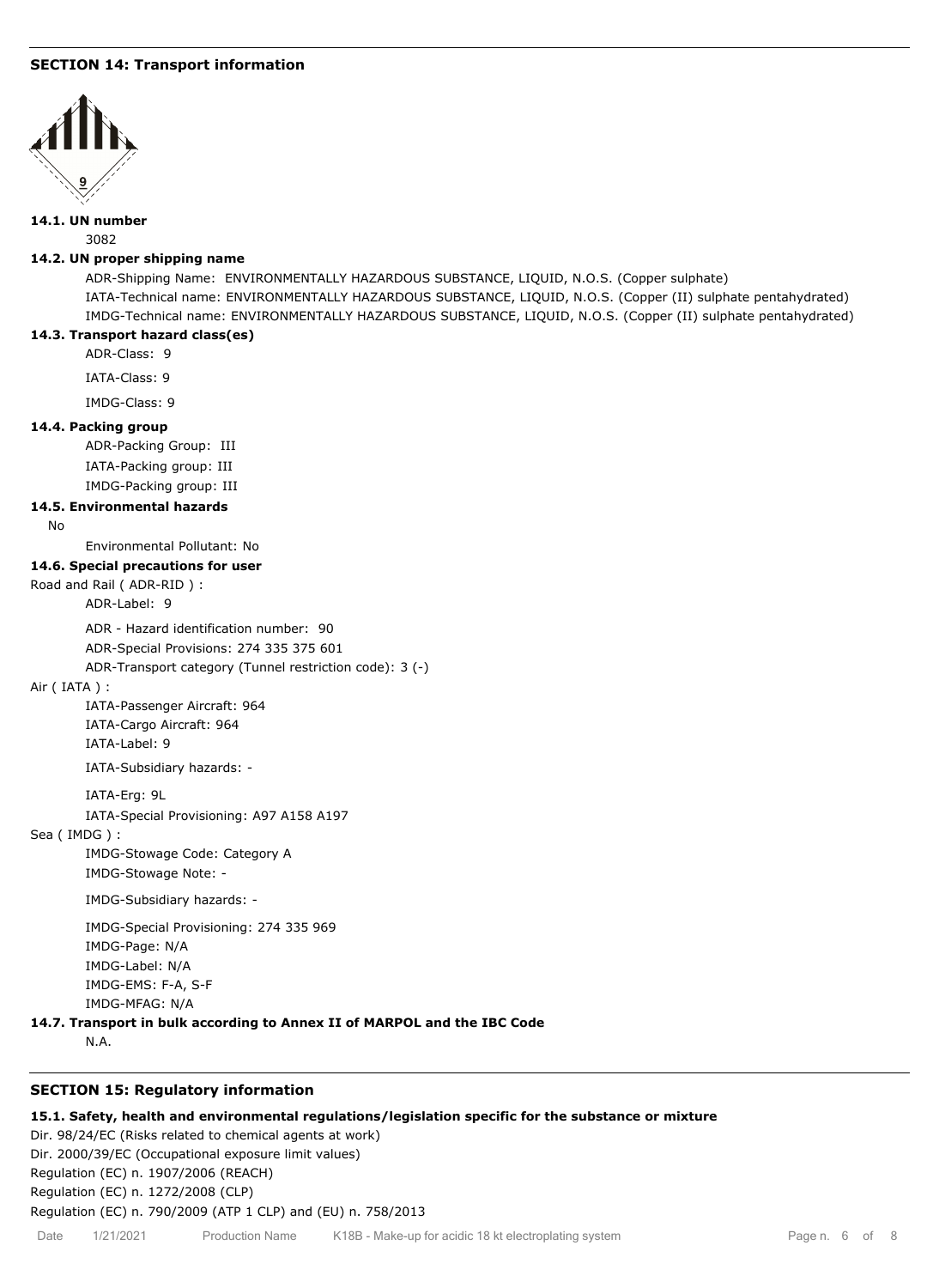## **SECTION 14: Transport information**



#### **14.1. UN number**

3082

## **14.2. UN proper shipping name**

ADR-Shipping Name: ENVIRONMENTALLY HAZARDOUS SUBSTANCE, LIQUID, N.O.S. (Copper sulphate) IATA-Technical name: ENVIRONMENTALLY HAZARDOUS SUBSTANCE, LIQUID, N.O.S. (Copper (II) sulphate pentahydrated) IMDG-Technical name: ENVIRONMENTALLY HAZARDOUS SUBSTANCE, LIQUID, N.O.S. (Copper (II) sulphate pentahydrated)

#### **14.3. Transport hazard class(es)**

ADR-Class: 9

IATA-Class: 9

IMDG-Class: 9

#### **14.4. Packing group**

ADR-Packing Group: III IATA-Packing group: III IMDG-Packing group: III

#### **14.5. Environmental hazards**

No

Environmental Pollutant: No

### **14.6. Special precautions for user**

Road and Rail ( ADR-RID ) :

ADR-Label: 9

ADR - Hazard identification number: 90

ADR-Special Provisions: 274 335 375 601

ADR-Transport category (Tunnel restriction code): 3 (-)

#### Air ( IATA ) :

IATA-Passenger Aircraft: 964 IATA-Cargo Aircraft: 964 IATA-Label: 9

IATA-Subsidiary hazards: -

IATA-Erg: 9L

IATA-Special Provisioning: A97 A158 A197

#### Sea ( IMDG ) :

IMDG-Stowage Code: Category A IMDG-Stowage Note: -

IMDG-Subsidiary hazards: -

IMDG-Special Provisioning: 274 335 969 IMDG-Page: N/A IMDG-Label: N/A IMDG-EMS: F-A, S-F IMDG-MFAG: N/A

## **14.7. Transport in bulk according to Annex II of MARPOL and the IBC Code**

N.A.

## **SECTION 15: Regulatory information**

#### **15.1. Safety, health and environmental regulations/legislation specific for the substance or mixture**

Dir. 98/24/EC (Risks related to chemical agents at work) Dir. 2000/39/EC (Occupational exposure limit values) Regulation (EC) n. 1907/2006 (REACH) Regulation (EC) n. 1272/2008 (CLP) Regulation (EC) n. 790/2009 (ATP 1 CLP) and (EU) n. 758/2013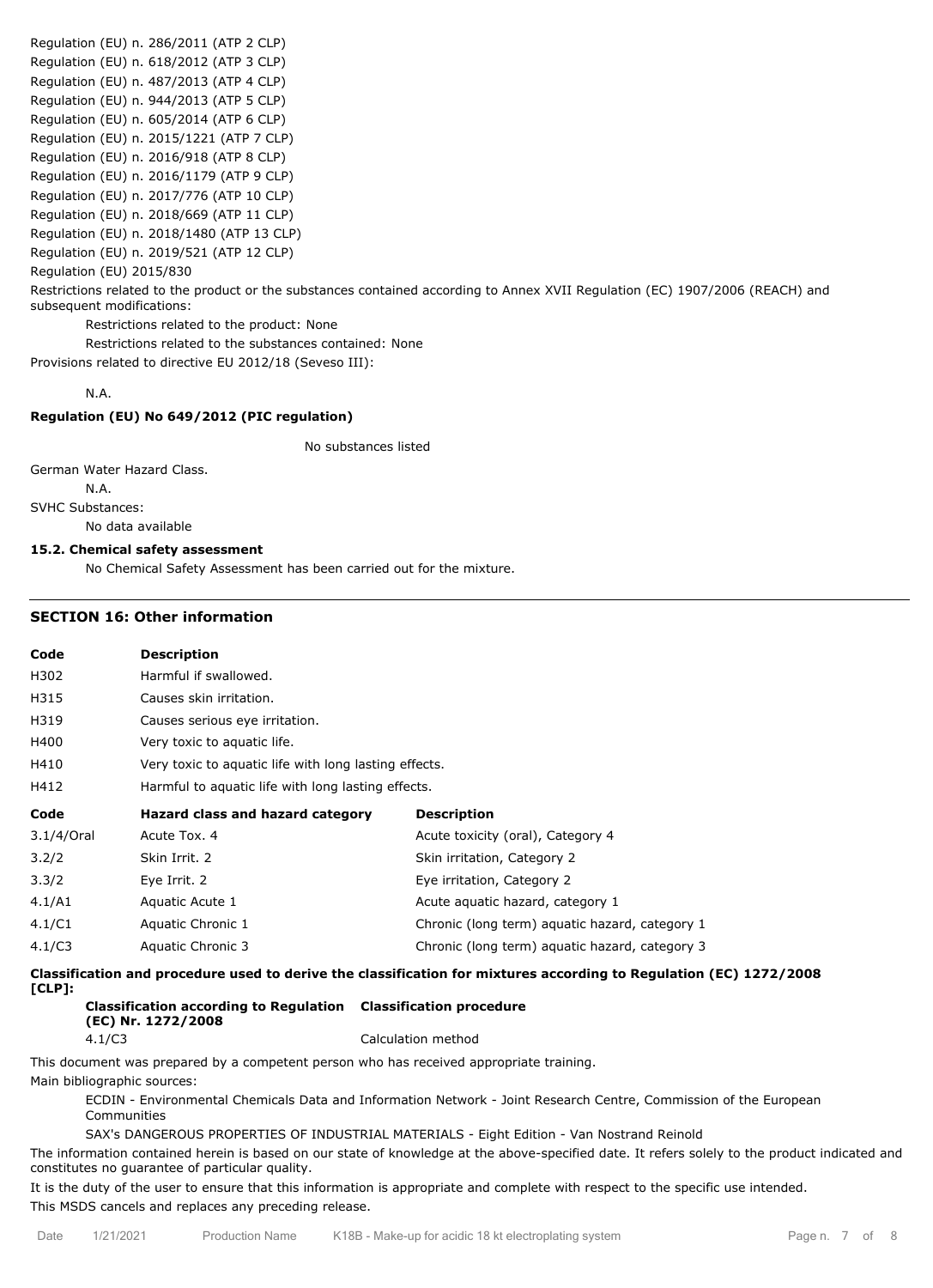Regulation (EU) n. 286/2011 (ATP 2 CLP) Regulation (EU) n. 618/2012 (ATP 3 CLP) Regulation (EU) n. 487/2013 (ATP 4 CLP) Regulation (EU) n. 944/2013 (ATP 5 CLP) Regulation (EU) n. 605/2014 (ATP 6 CLP) Regulation (EU) n. 2015/1221 (ATP 7 CLP) Regulation (EU) n. 2016/918 (ATP 8 CLP) Regulation (EU) n. 2016/1179 (ATP 9 CLP) Regulation (EU) n. 2017/776 (ATP 10 CLP) Regulation (EU) n. 2018/669 (ATP 11 CLP) Regulation (EU) n. 2018/1480 (ATP 13 CLP) Regulation (EU) n. 2019/521 (ATP 12 CLP) Regulation (EU) 2015/830 Restrictions related to the product or the substances contained according to Annex XVII Regulation (EC) 1907/2006 (REACH) and subsequent modifications: Restrictions related to the product: None Restrictions related to the substances contained: None

Provisions related to directive EU 2012/18 (Seveso III):

## N.A.

#### **Regulation (EU) No 649/2012 (PIC regulation)**

No substances listed

German Water Hazard Class.

N.A. SVHC Substances:

No data available

#### **15.2. Chemical safety assessment**

No Chemical Safety Assessment has been carried out for the mixture.

#### **SECTION 16: Other information**

| Code       | <b>Description</b>                                    |                                                |  |
|------------|-------------------------------------------------------|------------------------------------------------|--|
| H302       | Harmful if swallowed.                                 |                                                |  |
| H315       | Causes skin irritation.                               |                                                |  |
| H319       | Causes serious eye irritation.                        |                                                |  |
| H400       | Very toxic to aquatic life.                           |                                                |  |
| H410       | Very toxic to aguatic life with long lasting effects. |                                                |  |
| H412       | Harmful to aquatic life with long lasting effects.    |                                                |  |
|            |                                                       |                                                |  |
| Code       | Hazard class and hazard category                      | <b>Description</b>                             |  |
| 3.1/4/Oral | Acute Tox, 4                                          | Acute toxicity (oral), Category 4              |  |
| 3.2/2      | Skin Irrit. 2                                         | Skin irritation, Category 2                    |  |
| 3.3/2      | Eye Irrit. 2                                          | Eye irritation, Category 2                     |  |
| 4.1/A1     | Aquatic Acute 1                                       | Acute aguatic hazard, category 1               |  |
| 4.1/C1     | Aquatic Chronic 1                                     | Chronic (long term) aquatic hazard, category 1 |  |

**Classification and procedure used to derive the classification for mixtures according to Regulation (EC) 1272/2008 [CLP]:**

**Classification according to Regulation Classification procedure (EC) Nr. 1272/2008** 4.1/C3 Calculation method

This document was prepared by a competent person who has received appropriate training.

Main bibliographic sources:

ECDIN - Environmental Chemicals Data and Information Network - Joint Research Centre, Commission of the European Communities

SAX's DANGEROUS PROPERTIES OF INDUSTRIAL MATERIALS - Eight Edition - Van Nostrand Reinold

The information contained herein is based on our state of knowledge at the above-specified date. It refers solely to the product indicated and constitutes no guarantee of particular quality.

It is the duty of the user to ensure that this information is appropriate and complete with respect to the specific use intended. This MSDS cancels and replaces any preceding release.